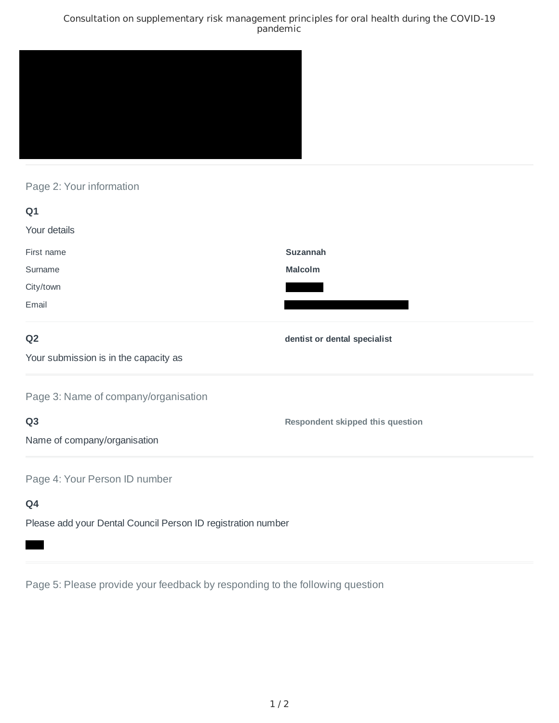### Consultation on supplementary risk management principles for oral health during the COVID-19 pandemic



## Page 2: Your information

| Q1                                                           |                                         |
|--------------------------------------------------------------|-----------------------------------------|
| Your details                                                 |                                         |
| First name                                                   | <b>Suzannah</b>                         |
| Surname                                                      | <b>Malcolm</b>                          |
| City/town                                                    |                                         |
| Email                                                        |                                         |
| Q <sub>2</sub>                                               | dentist or dental specialist            |
| Your submission is in the capacity as                        |                                         |
| Page 3: Name of company/organisation                         |                                         |
| Q <sub>3</sub>                                               | <b>Respondent skipped this question</b> |
| Name of company/organisation                                 |                                         |
| Page 4: Your Person ID number                                |                                         |
| Q4                                                           |                                         |
| Please add your Dental Council Person ID registration number |                                         |

Page 5: Please provide your feedback by responding to the following question